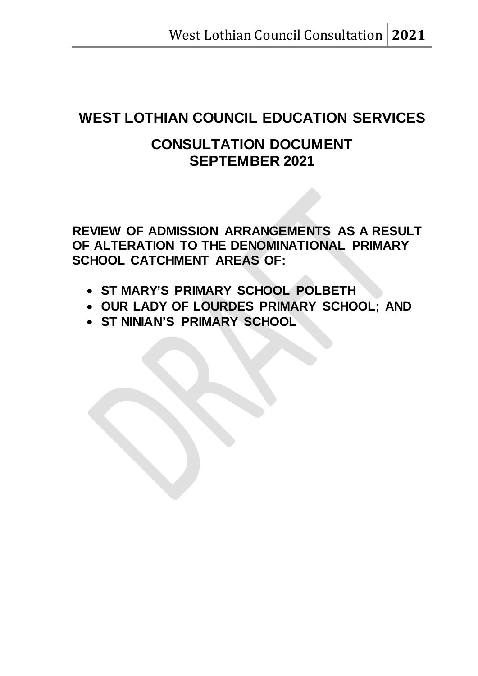# **WEST LOTHIAN COUNCIL EDUCATION SERVICES**

# **CONSULTATION DOCUMENT SEPTEMBER 2021**

**REVIEW OF ADMISSION ARRANGEMENTS AS A RESULT OF ALTERATION TO THE DENOMINATIONAL PRIMARY SCHOOL CATCHMENT AREAS OF:**

- **ST MARY'S PRIMARY SCHOOL POLBETH**
- **OUR LADY OF LOURDES PRIMARY SCHOOL; AND**
- **ST NINIAN'S PRIMARY SCHOOL**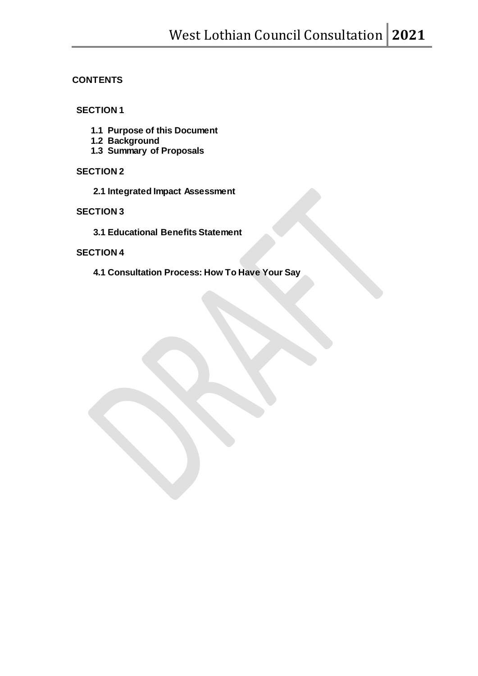# **CONTENTS**

# **SECTION 1**

- **1.1 Purpose of this Document**
- **1.2 Background**
- **1.3 Summary of Proposals**

## **SECTION 2**

**2.1 Integrated Impact Assessment** 

# **SECTION 3**

**3.1 Educational Benefits Statement** 

## **SECTION 4**

**4.1 Consultation Process: How To Have Your Say**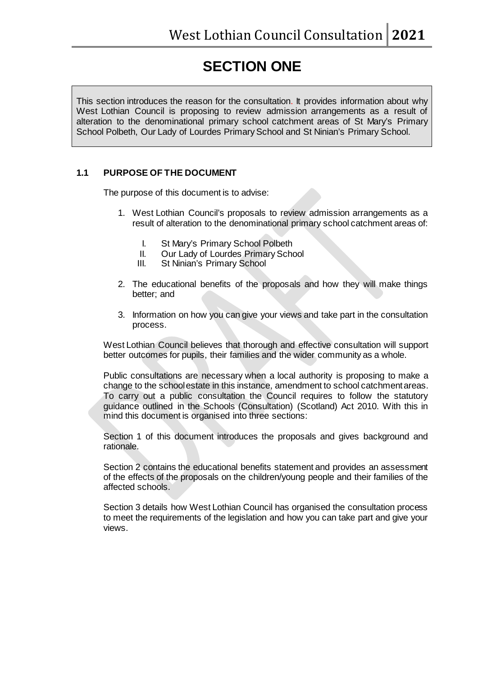# **SECTION ONE**

This section introduces the reason for the consultation. It provides information about why West Lothian Council is proposing to review admission arrangements as a result of alteration to the denominational primary school catchment areas of St Mary's Primary School Polbeth, Our Lady of Lourdes Primary School and St Ninian's Primary School.

# **1.1 PURPOSE OF THE DOCUMENT**

The purpose of this document is to advise:

- 1. West Lothian Council's proposals to review admission arrangements as a result of alteration to the denominational primary school catchment areas of:
	- I. St Mary's Primary School Polbeth<br>II. Our Lady of Lourdes Primary Scho
	- II. Our Lady of Lourdes Primary School<br>III. St Ninian's Primary School
	- St Ninian's Primary School
- 2. The educational benefits of the proposals and how they will make things better; and
- 3. Information on how you can give your views and take part in the consultation process.

West Lothian Council believes that thorough and effective consultation will support better outcomes for pupils, their families and the wider community as a whole.

Public consultations are necessary when a local authority is proposing to make a change to the school estate in this instance, amendment to school catchment areas. To carry out a public consultation the Council requires to follow the statutory guidance outlined in the Schools (Consultation) (Scotland) Act 2010. With this in mind this document is organised into three sections:

Section 1 of this document introduces the proposals and gives background and rationale.

Section 2 contains the educational benefits statement and provides an assessment of the effects of the proposals on the children/young people and their families of the affected schools.

Section 3 details how West Lothian Council has organised the consultation process to meet the requirements of the legislation and how you can take part and give your views.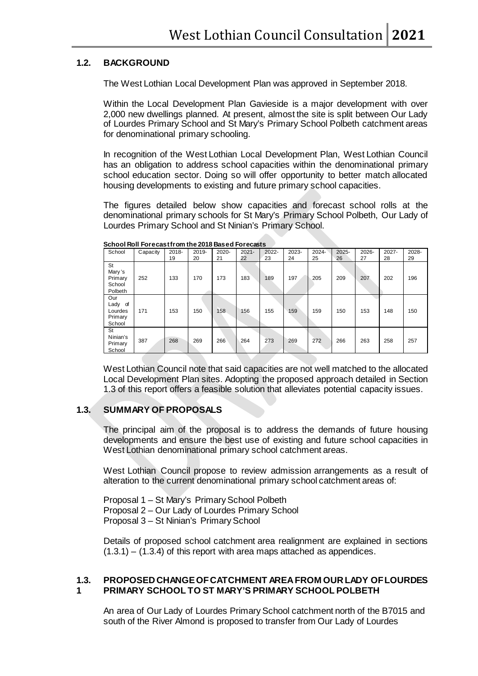### **1.2. BACKGROUND**

The West Lothian Local Development Plan was approved in September 2018.

Within the Local Development Plan Gavieside is a major development with over 2,000 new dwellings planned. At present, almost the site is split between Our Lady of Lourdes Primary School and St Mary's Primary School Polbeth catchment areas for denominational primary schooling.

In recognition of the West Lothian Local Development Plan, West Lothian Council has an obligation to address school capacities within the denominational primary school education sector. Doing so will offer opportunity to better match allocated housing developments to existing and future primary school capacities.

The figures detailed below show capacities and forecast school rolls at the denominational primary schools for St Mary's Primary School Polbeth, Our Lady of Lourdes Primary School and St Ninian's Primary School.

| School                                         | Capacity | 2018-<br>19 | 2019-<br>20 | $2020 -$<br>21 | $2021 -$<br>22 | $2022 -$<br>23 | 2023-<br>24 | $2024 -$<br>25 | $2025 -$<br>26 | 2026-<br>27 | $2027 -$<br>28 | 2028-<br>29 |
|------------------------------------------------|----------|-------------|-------------|----------------|----------------|----------------|-------------|----------------|----------------|-------------|----------------|-------------|
| St<br>Mary's<br>Primary<br>School<br>Polbeth   | 252      | 133         | 170         | 173            | 183            | 189            | 197         | 205            | 209            | 207         | 202            | 196         |
| Our<br>Lady of<br>Lourdes<br>Primary<br>School | 171      | 153         | 150         | 158            | 156            | 155            | 159         | 159            | 150            | 153         | 148            | 150         |
| St<br>Ninian's<br>Primary<br>School            | 387      | 268         | 269         | 266            | 264            | 273            | 269         | 272            | 266            | 263         | 258            | 257         |

**School Roll Forecast from the 2018 Based Forecasts**

West Lothian Council note that said capacities are not well matched to the allocated Local Development Plan sites. Adopting the proposed approach detailed in Section 1.3 of this report offers a feasible solution that alleviates potential capacity issues.

## **1.3. SUMMARY OF PROPOSALS**

The principal aim of the proposal is to address the demands of future housing developments and ensure the best use of existing and future school capacities in West Lothian denominational primary school catchment areas.

West Lothian Council propose to review admission arrangements as a result of alteration to the current denominational primary school catchment areas of:

Proposal 1 – St Mary's Primary School Polbeth Proposal 2 – Our Lady of Lourdes Primary School Proposal 3 – St Ninian's Primary School

Details of proposed school catchment area realignment are explained in sections  $(1.3.1) - (1.3.4)$  of this report with area maps attached as appendices.

#### **1.3. 1 PROPOSED CHANGE OF CATCHMENT AREA FROM OUR LADY OF LOURDES PRIMARY SCHOOL TO ST MARY'S PRIMARY SCHOOL POLBETH**

An area of Our Lady of Lourdes Primary School catchment north of the B7015 and south of the River Almond is proposed to transfer from Our Lady of Lourdes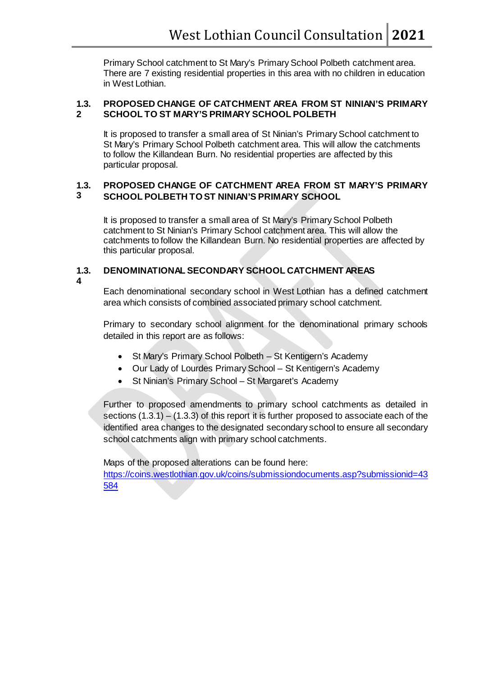Primary School catchment to St Mary's Primary School Polbeth catchment area. There are 7 existing residential properties in this area with no children in education in West Lothian.

#### **1.3. 2 PROPOSED CHANGE OF CATCHMENT AREA FROM ST NINIAN'S PRIMARY SCHOOL TO ST MARY'S PRIMARY SCHOOL POLBETH**

It is proposed to transfer a small area of St Ninian's Primary School catchment to St Mary's Primary School Polbeth catchment area. This will allow the catchments to follow the Killandean Burn. No residential properties are affected by this particular proposal.

#### **1.3. 3 PROPOSED CHANGE OF CATCHMENT AREA FROM ST MARY'S PRIMARY SCHOOL POLBETH TO ST NINIAN'S PRIMARY SCHOOL**

It is proposed to transfer a small area of St Mary's Primary School Polbeth catchment to St Ninian's Primary School catchment area. This will allow the catchments to follow the Killandean Burn. No residential properties are affected by this particular proposal.

#### **1.3. DENOMINATIONAL SECONDARY SCHOOL CATCHMENT AREAS**

**4**

# Each denominational secondary school in West Lothian has a defined catchment area which consists of combined associated primary school catchment.

Primary to secondary school alignment for the denominational primary schools detailed in this report are as follows:

- St Mary's Primary School Polbeth St Kentigern's Academy
- Our Lady of Lourdes Primary School St Kentigern's Academy
- St Ninian's Primary School St Margaret's Academy

Further to proposed amendments to primary school catchments as detailed in sections  $(1.3.1) - (1.3.3)$  of this report it is further proposed to associate each of the identified area changes to the designated secondary school to ensure all secondary school catchments align with primary school catchments.

Maps of the proposed alterations can be found here:

[https://coins.westlothian.gov.uk/coins/submissiondocuments.asp?submissionid=43](https://coins.westlothian.gov.uk/coins/submissiondocuments.asp?submissionid=43584) [584](https://coins.westlothian.gov.uk/coins/submissiondocuments.asp?submissionid=43584)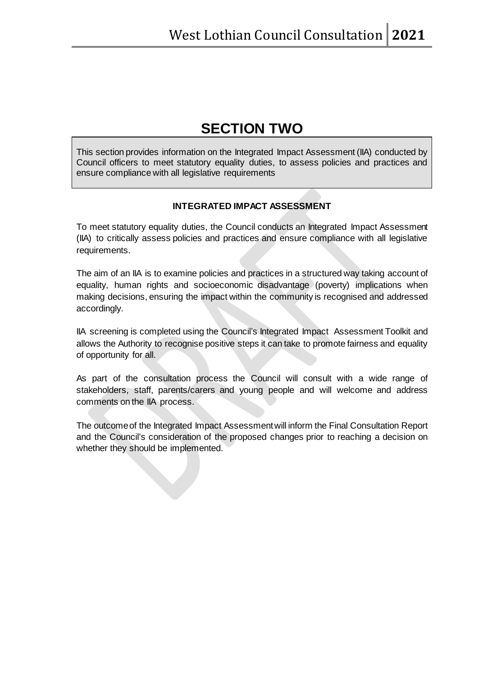# **SECTION TWO**

This section provides information on the Integrated Impact Assessment (IIA) conducted by Council officers to meet statutory equality duties, to assess policies and practices and ensure compliance with all legislative requirements

# **INTEGRATED IMPACT ASSESSMENT**

To meet statutory equality duties, the Council conducts an Integrated Impact Assessment (IIA) to critically assess policies and practices and ensure compliance with all legislative requirements.

The aim of an IIA is to examine policies and practices in a structured way taking account of equality, human rights and socioeconomic disadvantage (poverty) implications when making decisions, ensuring the impact within the community is recognised and addressed accordingly.

IIA screening is completed using the Council's Integrated Impact Assessment Toolkit and allows the Authority to recognise positive steps it can take to promote fairness and equality of opportunity for all.

As part of the consultation process the Council will consult with a wide range of stakeholders, staff, parents/carers and young people and will welcome and address comments on the IIA process.

The outcome of the Integrated Impact Assessment will inform the Final Consultation Report and the Council's consideration of the proposed changes prior to reaching a decision on whether they should be implemented.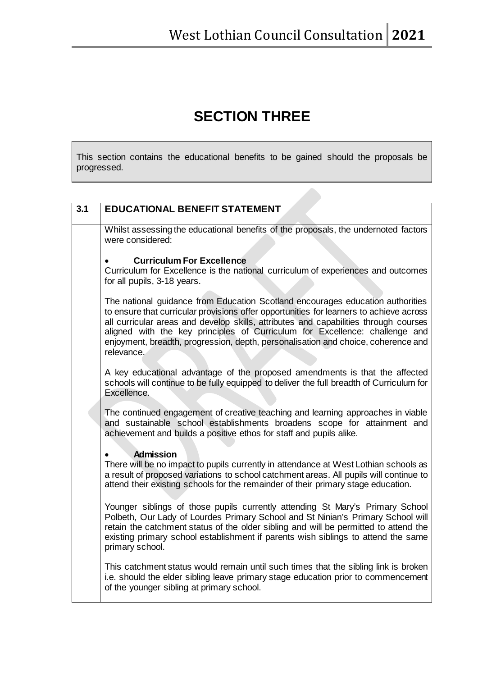# **SECTION THREE**

This section contains the educational benefits to be gained should the proposals be progressed.

| 3.1 | <b>EDUCATIONAL BENEFIT STATEMENT</b>                                                                                                                                                                                                                                                                                                                                                                                                                |
|-----|-----------------------------------------------------------------------------------------------------------------------------------------------------------------------------------------------------------------------------------------------------------------------------------------------------------------------------------------------------------------------------------------------------------------------------------------------------|
|     | Whilst assessing the educational benefits of the proposals, the undernoted factors<br>were considered:                                                                                                                                                                                                                                                                                                                                              |
|     | <b>Curriculum For Excellence</b><br>Curriculum for Excellence is the national curriculum of experiences and outcomes<br>for all pupils, 3-18 years.                                                                                                                                                                                                                                                                                                 |
|     | The national guidance from Education Scotland encourages education authorities<br>to ensure that curricular provisions offer opportunities for learners to achieve across<br>all curricular areas and develop skills, attributes and capabilities through courses<br>aligned with the key principles of Curriculum for Excellence: challenge and<br>enjoyment, breadth, progression, depth, personalisation and choice, coherence and<br>relevance. |
|     | A key educational advantage of the proposed amendments is that the affected<br>schools will continue to be fully equipped to deliver the full breadth of Curriculum for<br>Excellence.                                                                                                                                                                                                                                                              |
|     | The continued engagement of creative teaching and learning approaches in viable<br>and sustainable school establishments broadens scope for attainment and<br>achievement and builds a positive ethos for staff and pupils alike.                                                                                                                                                                                                                   |
|     | <b>Admission</b><br>There will be no impact to pupils currently in attendance at West Lothian schools as<br>a result of proposed variations to school catchment areas. All pupils will continue to<br>attend their existing schools for the remainder of their primary stage education.                                                                                                                                                             |
|     | Younger siblings of those pupils currently attending St Mary's Primary School<br>Polbeth, Our Lady of Lourdes Primary School and St Ninian's Primary School will<br>retain the catchment status of the older sibling and will be permitted to attend the<br>existing primary school establishment if parents wish siblings to attend the same<br>primary school.                                                                                    |
|     | This catchment status would remain until such times that the sibling link is broken<br>i.e. should the elder sibling leave primary stage education prior to commencement<br>of the younger sibling at primary school.                                                                                                                                                                                                                               |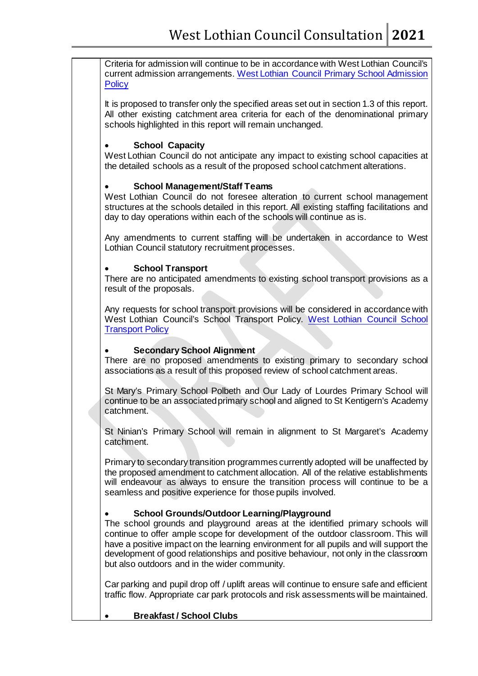Criteria for admission will continue to be in accordance with West Lothian Council's current admission arrangements. [West Lothian Council Primary School Admission](https://www.westlothian.gov.uk/media/2215/5-Primary-School--Policy-Document/pdf/5._Primary_School_-_Policy_Document.pdf)  **[Policy](https://www.westlothian.gov.uk/media/2215/5-Primary-School--Policy-Document/pdf/5._Primary_School_-_Policy_Document.pdf)** 

It is proposed to transfer only the specified areas set out in section 1.3 of this report. All other existing catchment area criteria for each of the denominational primary schools highlighted in this report will remain unchanged.

# **School Capacity**

West Lothian Council do not anticipate any impact to existing school capacities at the detailed schools as a result of the proposed school catchment alterations.

## • **School Management/Staff Teams**

West Lothian Council do not foresee alteration to current school management structures at the schools detailed in this report. All existing staffing facilitations and day to day operations within each of the schools will continue as is.

Any amendments to current staffing will be undertaken in accordance to West Lothian Council statutory recruitment processes.

## • **School Transport**

There are no anticipated amendments to existing school transport provisions as a result of the proposals.

Any requests for school transport provisions will be considered in accordance with West Lothian Council's School Transport Policy. [West Lothian Council School](https://www.westlothian.gov.uk/media/2152/Transport-to-and-from-School---Mainstream/pdf/Transport_to_and_from_School_-_Mainstream.pdf)  **[Transport Policy](https://www.westlothian.gov.uk/media/2152/Transport-to-and-from-School---Mainstream/pdf/Transport_to_and_from_School_-_Mainstream.pdf)** 

# • **Secondary School Alignment**

There are no proposed amendments to existing primary to secondary school associations as a result of this proposed review of school catchment areas.

St Mary's Primary School Polbeth and Our Lady of Lourdes Primary School will continue to be an associated primary school and aligned to St Kentigern's Academy catchment.

St Ninian's Primary School will remain in alignment to St Margaret's Academy catchment.

Primary to secondary transition programmes currently adopted will be unaffected by the proposed amendment to catchment allocation. All of the relative establishments will endeavour as always to ensure the transition process will continue to be a seamless and positive experience for those pupils involved.

# • **School Grounds/Outdoor Learning/Playground**

The school grounds and playground areas at the identified primary schools will continue to offer ample scope for development of the outdoor classroom. This will have a positive impact on the learning environment for all pupils and will support the development of good relationships and positive behaviour, not only in the classroom but also outdoors and in the wider community.

Car parking and pupil drop off / uplift areas will continue to ensure safe and efficient traffic flow. Appropriate car park protocols and risk assessments will be maintained.

• **Breakfast / School Clubs**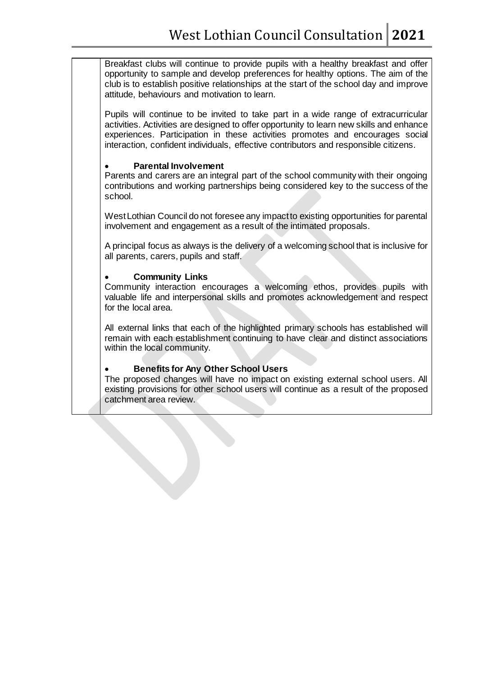Breakfast clubs will continue to provide pupils with a healthy breakfast and offer opportunity to sample and develop preferences for healthy options. The aim of the club is to establish positive relationships at the start of the school day and improve attitude, behaviours and motivation to learn.

Pupils will continue to be invited to take part in a wide range of extracurricular activities. Activities are designed to offer opportunity to learn new skills and enhance experiences. Participation in these activities promotes and encourages social interaction, confident individuals, effective contributors and responsible citizens.

### • **Parental Involvement**

Parents and carers are an integral part of the school community with their ongoing contributions and working partnerships being considered key to the success of the school.

West Lothian Council do not foresee any impact to existing opportunities for parental involvement and engagement as a result of the intimated proposals.

A principal focus as always is the delivery of a welcoming school that is inclusive for all parents, carers, pupils and staff.

## • **Community Links**

Community interaction encourages a welcoming ethos, provides pupils with valuable life and interpersonal skills and promotes acknowledgement and respect for the local area.

All external links that each of the highlighted primary schools has established will remain with each establishment continuing to have clear and distinct associations within the local community.

## • **Benefits for Any Other School Users**

The proposed changes will have no impact on existing external school users. All existing provisions for other school users will continue as a result of the proposed catchment area review.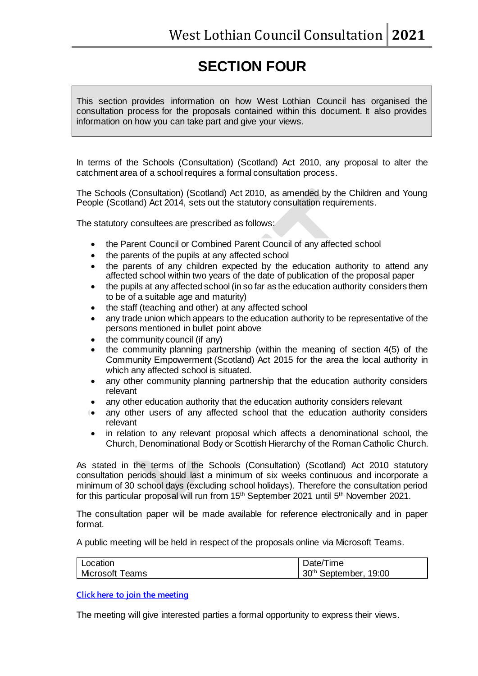# **SECTION FOUR**

This section provides information on how West Lothian Council has organised the consultation process for the proposals contained within this document. It also provides information on how you can take part and give your views.

In terms of the Schools (Consultation) (Scotland) Act 2010, any proposal to alter the catchment area of a school requires a formal consultation process.

The Schools (Consultation) (Scotland) Act 2010, as amended by the Children and Young People (Scotland) Act 2014, sets out the statutory consultation requirements.

The statutory consultees are prescribed as follows:

- the Parent Council or Combined Parent Council of any affected school
- the parents of the pupils at any affected school
- the parents of any children expected by the education authority to attend any affected school within two years of the date of publication of the proposal paper
- the pupils at any affected school (in so far as the education authority considers them to be of a suitable age and maturity)
- the staff (teaching and other) at any affected school
- any trade union which appears to the education authority to be representative of the persons mentioned in bullet point above
- the community council (if any)
- the community planning partnership (within the meaning of section 4(5) of the Community Empowerment (Scotland) Act 2015 for the area the local authority in which any affected school is situated.
- any other community planning partnership that the education authority considers relevant
- any other education authority that the education authority considers relevant
- any other users of any affected school that the education authority considers relevant
- in relation to any relevant proposal which affects a denominational school, the Church, Denominational Body or Scottish Hierarchy of the Roman Catholic Church.

As stated in the terms of the Schools (Consultation) (Scotland) Act 2010 statutory consultation periods should last a minimum of six weeks continuous and incorporate a minimum of 30 school days (excluding school holidays). Therefore the consultation period for this particular proposal will run from 15<sup>th</sup> September 2021 until 5<sup>th</sup> November 2021.

The consultation paper will be made available for reference electronically and in paper format.

A public meeting will be held in respect of the proposals online via Microsoft Teams.

| Location               | Date/Time                         |
|------------------------|-----------------------------------|
| <b>Microsoft Teams</b> | 30 <sup>th</sup> September, 19:00 |

**[Click here to join the meeting](https://teams.microsoft.com/l/meetup-join/19%3ameeting_OTc4NzJmZWMtODgzNS00OWJhLWE4MDktNTViNTU1ZDUyMDhi%40thread.v2/0?context=%7b%22Tid%22%3a%221de78b07-ad4e-4049-a2db-953ee8b36107%22%2c%22Oid%22%3a%2221310a60-b992-4690-b831-3bf45f6c8cb6%22%7d)**

The meeting will give interested parties a formal opportunity to express their views.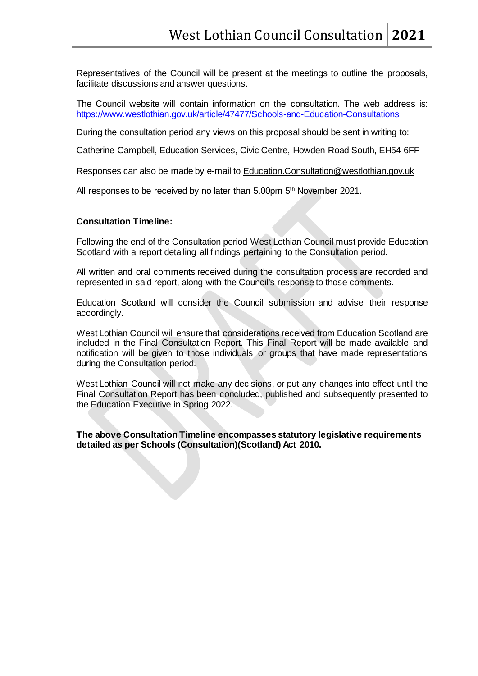Representatives of the Council will be present at the meetings to outline the proposals, facilitate discussions and answer questions.

The Council website will contain information on the consultation. The web address is: <https://www.westlothian.gov.uk/article/47477/Schools-and-Education-Consultations>

During the consultation period any views on this proposal should be sent in writing to:

Catherine Campbell, Education Services, Civic Centre, Howden Road South, EH54 6FF

Responses can also be made by e-mail to [Education.Consultation@westlothian.gov.uk](mailto:Education.Consultation@westlothian.gov.uk)

All responses to be received by no later than 5.00pm 5<sup>th</sup> November 2021.

### **Consultation Timeline:**

Following the end of the Consultation period West Lothian Council must provide Education Scotland with a report detailing all findings pertaining to the Consultation period.

All written and oral comments received during the consultation process are recorded and represented in said report, along with the Council's response to those comments.

Education Scotland will consider the Council submission and advise their response accordingly.

West Lothian Council will ensure that considerations received from Education Scotland are included in the Final Consultation Report. This Final Report will be made available and notification will be given to those individuals or groups that have made representations during the Consultation period.

West Lothian Council will not make any decisions, or put any changes into effect until the Final Consultation Report has been concluded, published and subsequently presented to the Education Executive in Spring 2022.

**The above Consultation Timeline encompasses statutory legislative requirements detailed as per Schools (Consultation)(Scotland) Act 2010.**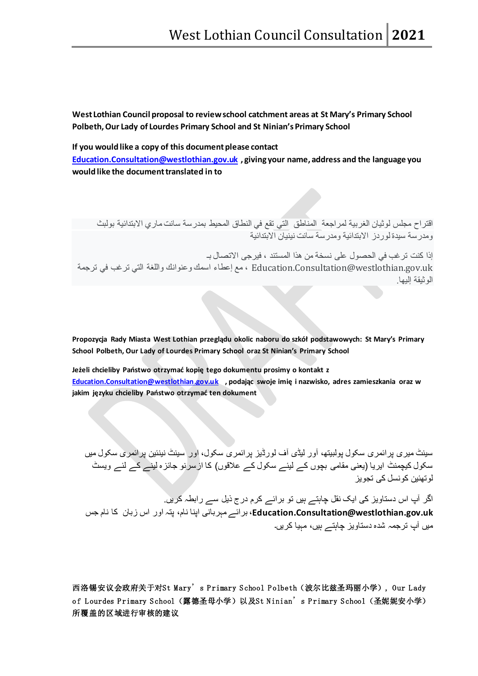**West Lothian Council proposal to review school catchment areas at St Mary's Primary School Polbeth, Our Lady of Lourdes Primary School and St Ninian's Primary School**

**If you would like a copy of this document please contact**

**[Education.Consultation@westlothian.gov.uk](mailto:Education.Consultation@westlothian.gov.uk) , giving your name, address and the language you would like the document translated in to**

اقتراح مجلس لوثیان الغربیة لمراجعة المناطق التي تقع في النطاق المحیط بمدرسة سانت ماري الابتدائیة بولبث ومدرسة سیدة لوردز الابتدائیة ومدرسة سانت نینیان الابتدائیة

إذا كنت ترغب في الحصول على نسخة من ھذا المستند ، فیرجى الاتصال بـ uk.gov.westlothian@Consultation.Education ، مع إعطاء اسمك وعنوانك واللغة التي ترغب في ترجمة الوثیقة إلیھا.

**Propozycja Rady Miasta West Lothian przeglądu okolic naboru do szkół podstawowych: St Mary's Primary School Polbeth, Our Lady of Lourdes Primary School oraz St Ninian's Primary School**

**Jeżeli chcieliby Państwo otrzymać kopię tego dokumentu prosimy o kontakt z [Education.Consultation@westlothian.gov.uk](mailto:Education.Consultation@westlothian.gov.uk) , podając swoje imię i nazwisko, adres zamieszkania oraz w jakim języku chcieliby Państwo otrzymać ten dokument**

سینٹ میری پرائمری سکول پولبیتھ، آور لیڈی آف لورڈیز پرائمری سکول، اور سینٹ نینئین پرائمری سکول میں سکول کیچمنٹ ایریا (یعنی مقامی بچوں کے لیئے سکول کے علاقوں) کا ازسرنو جائزه لینے کے لئے ویسٹ لوتھئین کونسل کی تجویز

اگر آپ اس دستاویز کی ایک نقل چاہتے ہیں تو برائے کرم درج ذیل سے رابطہ کریں. **uk.gov.westlothian@Consultation.Education**، برائے مہربانی اپنا نام، پتہ اور اس زبان کا نام جس میں آپ ترجمہ شده دستاویز چاہتے ہیں، مہیا کریں۔

西洛锡安议会政府关于对St Mary's P rimary S chool P olbeth(波尔比兹圣玛丽小学), Our Lady of Lourdes Primary School (露德圣母小学)以及St Ninian's Primary School (圣妮妮安小学) 所覆盖的区域进行审核的建议